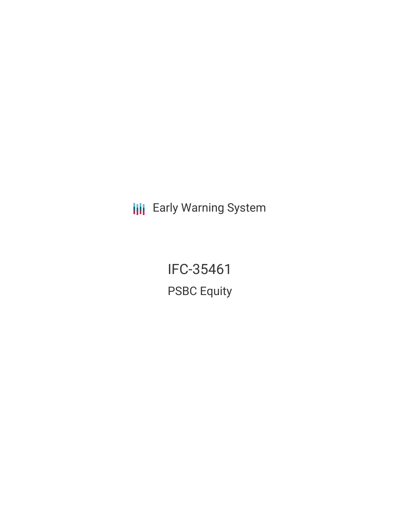**III** Early Warning System

IFC-35461 PSBC Equity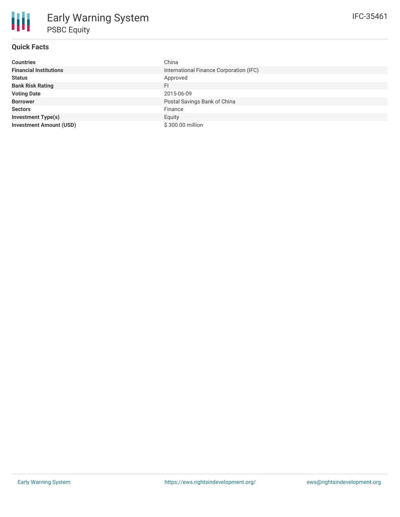| <b>Countries</b>               | China                                   |
|--------------------------------|-----------------------------------------|
| <b>Financial Institutions</b>  | International Finance Corporation (IFC) |
| <b>Status</b>                  | Approved                                |
| <b>Bank Risk Rating</b>        | FI                                      |
| <b>Voting Date</b>             | 2015-06-09                              |
| <b>Borrower</b>                | Postal Savings Bank of China            |
| <b>Sectors</b>                 | Finance                                 |
| <b>Investment Type(s)</b>      | Equity                                  |
| <b>Investment Amount (USD)</b> | \$300.00 million                        |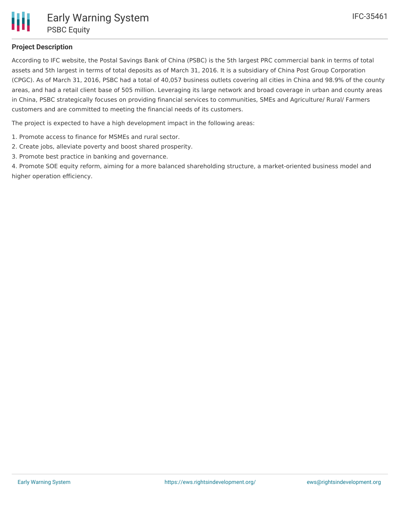## **Project Description**

According to IFC website, the Postal Savings Bank of China (PSBC) is the 5th largest PRC commercial bank in terms of total assets and 5th largest in terms of total deposits as of March 31, 2016. It is a subsidiary of China Post Group Corporation (CPGC). As of March 31, 2016, PSBC had a total of 40,057 business outlets covering all cities in China and 98.9% of the county areas, and had a retail client base of 505 million. Leveraging its large network and broad coverage in urban and county areas in China, PSBC strategically focuses on providing financial services to communities, SMEs and Agriculture/ Rural/ Farmers customers and are committed to meeting the financial needs of its customers.

The project is expected to have a high development impact in the following areas:

- 1. Promote access to finance for MSMEs and rural sector.
- 2. Create jobs, alleviate poverty and boost shared prosperity.
- 3. Promote best practice in banking and governance.

4. Promote SOE equity reform, aiming for a more balanced shareholding structure, a market-oriented business model and higher operation efficiency.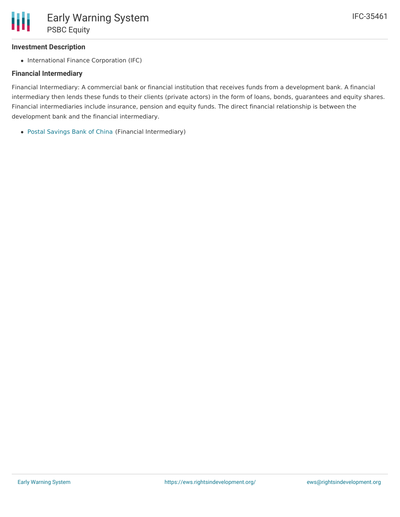## **Investment Description**

• International Finance Corporation (IFC)

### **Financial Intermediary**

Financial Intermediary: A commercial bank or financial institution that receives funds from a development bank. A financial intermediary then lends these funds to their clients (private actors) in the form of loans, bonds, guarantees and equity shares. Financial intermediaries include insurance, pension and equity funds. The direct financial relationship is between the development bank and the financial intermediary.

Postal [Savings](file:///actor/766/) Bank of China (Financial Intermediary)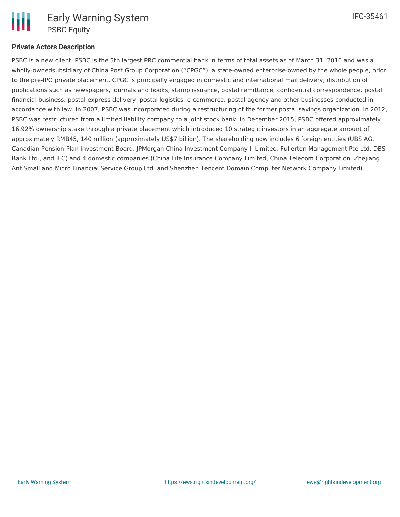

## **Private Actors Description**

PSBC is a new client. PSBC is the 5th largest PRC commercial bank in terms of total assets as of March 31, 2016 and was a wholly-ownedsubsidiary of China Post Group Corporation ("CPGC"), a state-owned enterprise owned by the whole people, prior to the pre-IPO private placement. CPGC is principally engaged in domestic and international mail delivery, distribution of publications such as newspapers, journals and books, stamp issuance, postal remittance, confidential correspondence, postal financial business, postal express delivery, postal logistics, e-commerce, postal agency and other businesses conducted in accordance with law. In 2007, PSBC was incorporated during a restructuring of the former postal savings organization. In 2012, PSBC was restructured from a limited liability company to a joint stock bank. In December 2015, PSBC offered approximately 16.92% ownership stake through a private placement which introduced 10 strategic investors in an aggregate amount of approximately RMB45, 140 million (approximately US\$7 billion). The shareholding now includes 6 foreign entities (UBS AG, Canadian Pension Plan Investment Board, JPMorgan China Investment Company II Limited, Fullerton Management Pte Ltd, DBS Bank Ltd., and IFC) and 4 domestic companies (China Life Insurance Company Limited, China Telecom Corporation, Zhejiang Ant Small and Micro Financial Service Group Ltd. and Shenzhen Tencent Domain Computer Network Company Limited).